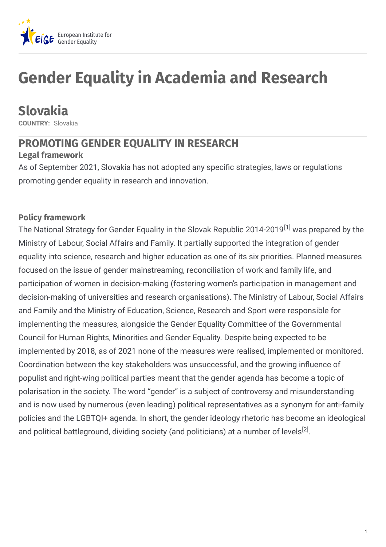

# **Gender Equality in Academia and Research**

## **Slovakia**

**COUNTRY:** Slovakia

## **PROMOTING GENDER EQUALITY IN RESEARCH**

#### **Legal framework**

As of September 2021, Slovakia has not adopted any specific strategies, laws or regulations promoting gender equality in research and innovation.

#### **Policy framework**

The National Strategy for Gender Equality in the Slovak Republic 2014-2019<sup>[1]</sup> was prepared by the Ministry of Labour, Social Affairs and Family. It partially supported the integration of gender equality into science, research and higher education as one of its six priorities. Planned measures focused on the issue of gender mainstreaming, reconciliation of work and family life, and participation of women in decision-making (fostering women's participation in management and decision-making of universities and research organisations). The Ministry of Labour, Social Affairs and Family and the Ministry of Education, Science, Research and Sport were responsible for implementing the measures, alongside the Gender Equality Committee of the Governmental Council for Human Rights, Minorities and Gender Equality. Despite being expected to be implemented by 2018, as of 2021 none of the measures were realised, implemented or monitored. Coordination between the key stakeholders was unsuccessful, and the growing influence of populist and right-wing political parties meant that the gender agenda has become a topic of polarisation in the society. The word "gender" is a subject of controversy and misunderstanding and is now used by numerous (even leading) political representatives as a synonym for anti-family policies and the LGBTQI+ agenda. In short, the gender ideology rhetoric has become an ideological and political battleground, dividing society (and politicians) at a number of levels<sup>[2]</sup>.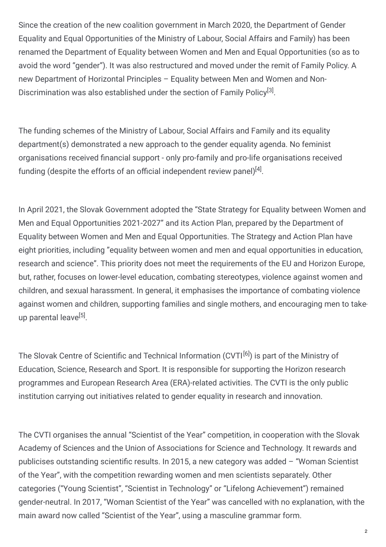Since the creation of the new coalition government in March 2020, the Department of Gender Equality and Equal Opportunities of the Ministry of Labour, Social Affairs and Family) has been renamed the Department of Equality between Women and Men and Equal Opportunities (so as to avoid the word "gender"). It was also restructured and moved under the remit of Family Policy. A new Department of Horizontal Principles – Equality between Men and Women and Non-Discrimination was also established under the section of Family Policy<sup>[3]</sup>.

The funding schemes of the Ministry of Labour, Social Affairs and Family and its equality department(s) demonstrated a new approach to the gender equality agenda. No feminist organisations received financial support - only pro-family and pro-life organisations received funding (despite the efforts of an official independent review panel) $^{[4]}$ .

In April 2021, the Slovak Government adopted the "State Strategy for Equality between Women and Men and Equal Opportunities 2021-2027" and its Action Plan, prepared by the Department of Equality between Women and Men and Equal Opportunities. The Strategy and Action Plan have eight priorities, including "equality between women and men and equal opportunities in education, research and science". This priority does not meet the requirements of the EU and Horizon Europe, but, rather, focuses on lower-level education, combating stereotypes, violence against women and children, and sexual harassment. In general, it emphasises the importance of combating violence against women and children, supporting families and single mothers, and encouraging men to takeup parental leave<sup>[5]</sup>.

The Slovak Centre of Scientific and Technical Information (CVTI<sup>[6]</sup>) is part of the Ministry of Education, Science, Research and Sport. It is responsible for supporting the Horizon research programmes and European Research Area (ERA)-related activities. The CVTI is the only public institution carrying out initiatives related to gender equality in research and innovation.

The CVTI organises the annual "Scientist of the Year" competition, in cooperation with the Slovak Academy of Sciences and the Union of Associations for Science and Technology. It rewards and publicises outstanding scientific results. In 2015, a new category was added  $-$  "Woman Scientist of the Year", with the competition rewarding women and men scientists separately. Other categories ("Young Scientist", "Scientist in Technology" or "Lifelong Achievement") remained gender-neutral. In 2017, "Woman Scientist of the Year" was cancelled with no explanation, with the main award now called "Scientist of the Year", using a masculine grammar form.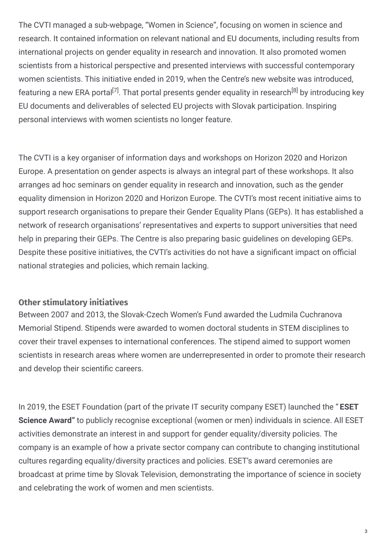The CVTI managed a sub-webpage, "Women in Science", focusing on women in science and research. It contained information on relevant national and EU documents, including results from international projects on gender equality in research and innovation. It also promoted women scientists from a historical perspective and presented interviews with successful contemporary women scientists. This initiative ended in 2019, when the Centre's new website was introduced, featuring a new ERA portal<sup>[7]</sup>. That portal presents gender equality in research<sup>[8]</sup> by introducing key EU documents and deliverables of selected EU projects with Slovak participation. Inspiring personal interviews with women scientists no longer feature.

The CVTI is a key organiser of information days and workshops on Horizon 2020 and Horizon Europe. A presentation on gender aspects is always an integral part of these workshops. It also arranges ad hoc seminars on gender equality in research and innovation, such as the gender equality dimension in Horizon 2020 and Horizon Europe. The CVTI's most recent initiative aims to support research organisations to prepare their Gender Equality Plans (GEPs). It has established a network of research organisations' representatives and experts to support universities that need help in preparing their GEPs. The Centre is also preparing basic guidelines on developing GEPs. Despite these positive initiatives, the CVTI's activities do not have a significant impact on official national strategies and policies, which remain lacking.

#### **Other stimulatory initiatives**

Between 2007 and 2013, the Slovak-Czech Women's Fund awarded the Ludmila Cuchranova Memorial Stipend. Stipends were awarded to women doctoral students in STEM disciplines to cover their travel expenses to international conferences. The stipend aimed to support women scientists in research areas where women are underrepresented in order to promote their research and develop their scientific careers.

In 2019, the ESET Foundation (part of the private IT security company ESET) launched the " **ESET Science Award"** to publicly recognise exceptional (women or men) individuals in science. All ESET activities demonstrate an interest in and support for gender equality/diversity policies. The company is an example of how a private sector company can contribute to changing institutional cultures regarding equality/diversity practices and policies. ESET's award ceremonies are broadcast at prime time by Slovak Television, demonstrating the importance of science in society and celebrating the work of women and men scientists.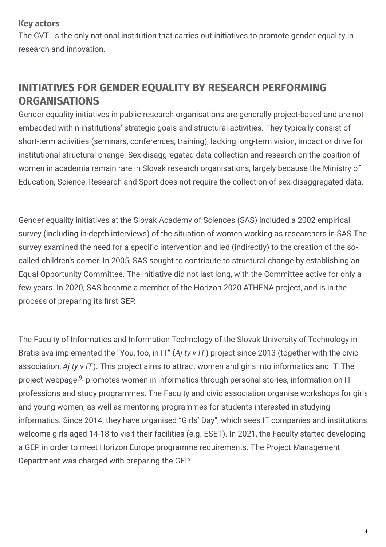#### **Key actors**

The CVTI is the only national institution that carries out initiatives to promote gender equality in research and innovation.

## **INITIATIVES FOR GENDER EQUALITY BY RESEARCH PERFORMING ORGANISATIONS**

Gender equality initiatives in public research organisations are generally project-based and are not embedded within institutions' strategic goals and structural activities. They typically consist of short-term activities (seminars, conferences, training), lacking long-term vision, impact or drive for institutional structural change. Sex-disaggregated data collection and research on the position of women in academia remain rare in Slovak research organisations, largely because the Ministry of Education, Science, Research and Sport does not require the collection of sex-disaggregated data.

Gender equality initiatives at the Slovak Academy of Sciences (SAS) included a 2002 empirical survey (including in-depth interviews) of the situation of women working as researchers in SAS The survey examined the need for a specific intervention and led (indirectly) to the creation of the socalled children's corner. In 2005, SAS sought to contribute to structural change by establishing an Equal Opportunity Committee. The initiative did not last long, with the Committee active for only a few years. In 2020, SAS became a member of the Horizon 2020 ATHENA project, and is in the process of preparing its first GEP.

The Faculty of Informatics and Information Technology of the Slovak University of Technology in Bratislava implemented the "You, too, in IT" (*Aj ty v IT*) project since 2013 (together with the civic association, *Aj ty v IT*). This project aims to attract women and girls into informatics and IT. The project webpage<sup>[9]</sup> promotes women in informatics through personal stories, information on IT professions and study programmes. The Faculty and civic association organise workshops for girls and young women, as well as mentoring programmes for students interested in studying informatics. Since 2014, they have organised "Girls' Day", which sees IT companies and institutions welcome girls aged 14-18 to visit their facilities (e.g. ESET). In 2021, the Faculty started developing a GEP in order to meet Horizon Europe programme requirements. The Project Management Department was charged with preparing the GEP.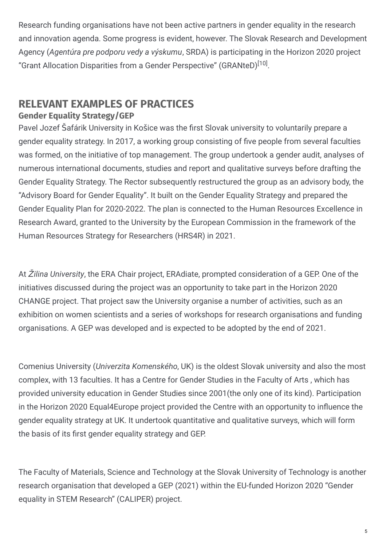Research funding organisations have not been active partners in gender equality in the research and innovation agenda. Some progress is evident, however. The Slovak Research and Development Agency (*Agentúra pre podporu vedy a výskumu*, SRDA) is participating in the Horizon 2020 project "Grant Allocation Disparities from a Gender Perspective" (GRANteD)<sup>[10]</sup>.

## **RELEVANT EXAMPLES OF PRACTICES**

#### **Gender Equality Strategy/GEP**

Pavel Jozef Šafárik University in Košice was the first Slovak university to voluntarily prepare a gender equality strategy. In 2017, a working group consisting of five people from several faculties was formed, on the initiative of top management. The group undertook a gender audit, analyses of numerous international documents, studies and report and qualitative surveys before drafting the Gender Equality Strategy. The Rector subsequently restructured the group as an advisory body, the "Advisory Board for Gender Equality". It built on the Gender Equality Strategy and prepared the Gender Equality Plan for 2020-2022. The plan is connected to the Human Resources Excellence in Research Award, granted to the University by the European Commission in the framework of the Human Resources Strategy for Researchers (HRS4R) in 2021.

At Ž*ilina University*, the ERA Chair project, ERAdiate, prompted consideration of a GEP. One of the initiatives discussed during the project was an opportunity to take part in the Horizon 2020 CHANGE project. That project saw the University organise a number of activities, such as an exhibition on women scientists and a series of workshops for research organisations and funding organisations. A GEP was developed and is expected to be adopted by the end of 2021.

Comenius University (*Univerzita Komenského*, UK) is the oldest Slovak university and also the most complex, with 13 faculties. It has a Centre for Gender Studies in the Faculty of Arts , which has provided university education in Gender Studies since 2001(the only one of its kind). Participation in the Horizon 2020 Equal4Europe project provided the Centre with an opportunity to influence the gender equality strategy at UK. It undertook quantitative and qualitative surveys, which will form the basis of its first gender equality strategy and GEP.

The Faculty of Materials, Science and Technology at the Slovak University of Technology is another research organisation that developed a GEP (2021) within the EU-funded Horizon 2020 "Gender equality in STEM Research" (CALIPER) project.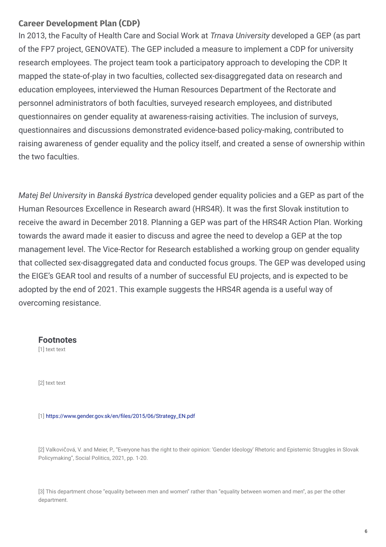#### **Career Development Plan (CDP)**

In 2013, the Faculty of Health Care and Social Work at *Trnava University* developed a GEP (as part of the FP7 project, GENOVATE). The GEP included a measure to implement a CDP for university research employees. The project team took a participatory approach to developing the CDP. It mapped the state-of-play in two faculties, collected sex-disaggregated data on research and education employees, interviewed the Human Resources Department of the Rectorate and personnel administrators of both faculties, surveyed research employees, and distributed questionnaires on gender equality at awareness-raising activities. The inclusion of surveys, questionnaires and discussions demonstrated evidence-based policy-making, contributed to raising awareness of gender equality and the policy itself, and created a sense of ownership within the two faculties.

*Matej Bel University* in *Banská Bystrica* developed gender equality policies and a GEP as part of the Human Resources Excellence in Research award (HRS4R). It was the first Slovak institution to receive the award in December 2018. Planning a GEP was part of the HRS4R Action Plan. Working towards the award made it easier to discuss and agree the need to develop a GEP at the top management level. The Vice-Rector for Research established a working group on gender equality that collected sex-disaggregated data and conducted focus groups. The GEP was developed using the EIGE's GEAR tool and results of a number of successful EU projects, and is expected to be adopted by the end of 2021. This example suggests the HRS4R agenda is a useful way of overcoming resistance.

#### **Footnotes**

[1] text text

[2] text text

[1] https://www.gender.gov.sk/en/files/2015/06/Strategy\_EN.pdf

[2] Valkovičová, V. and Meier, P., "Everyone has the right to their opinion: 'Gender Ideology' Rhetoric and Epistemic Struggles in Slovak Policymaking", Social Politics, 2021, pp. 1-20.

[3] This department chose "equality between men and women" rather than "equality between women and men", as per the other department.